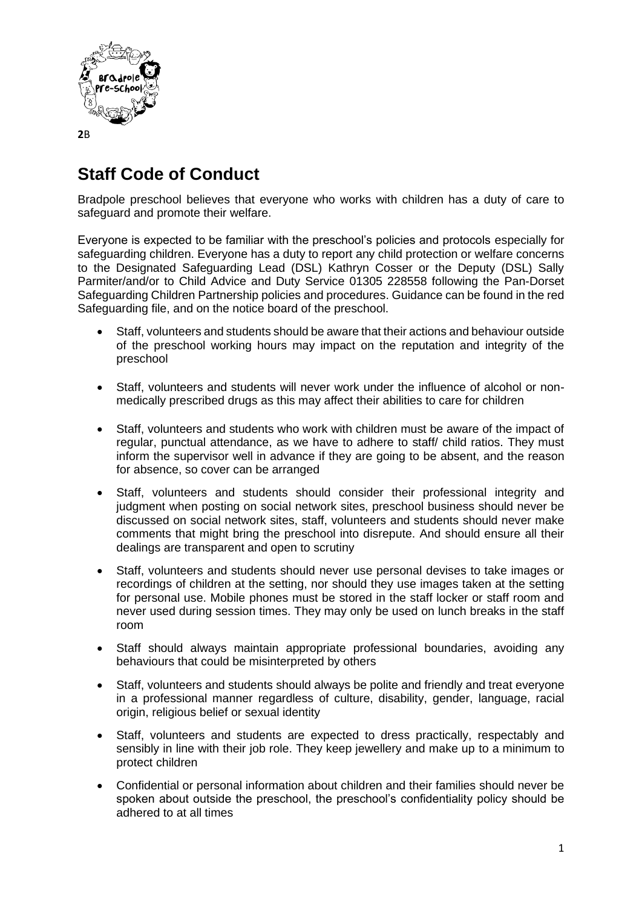

## **Staff Code of Conduct**

Bradpole preschool believes that everyone who works with children has a duty of care to safeguard and promote their welfare.

Everyone is expected to be familiar with the preschool's policies and protocols especially for safeguarding children. Everyone has a duty to report any child protection or welfare concerns to the Designated Safeguarding Lead (DSL) Kathryn Cosser or the Deputy (DSL) Sally Parmiter/and/or to Child Advice and Duty Service 01305 228558 following the Pan-Dorset Safeguarding Children Partnership policies and procedures. Guidance can be found in the red Safeguarding file, and on the notice board of the preschool.

- Staff, volunteers and students should be aware that their actions and behaviour outside of the preschool working hours may impact on the reputation and integrity of the preschool
- Staff, volunteers and students will never work under the influence of alcohol or nonmedically prescribed drugs as this may affect their abilities to care for children
- Staff, volunteers and students who work with children must be aware of the impact of regular, punctual attendance, as we have to adhere to staff/ child ratios. They must inform the supervisor well in advance if they are going to be absent, and the reason for absence, so cover can be arranged
- Staff, volunteers and students should consider their professional integrity and judgment when posting on social network sites, preschool business should never be discussed on social network sites, staff, volunteers and students should never make comments that might bring the preschool into disrepute. And should ensure all their dealings are transparent and open to scrutiny
- Staff, volunteers and students should never use personal devises to take images or recordings of children at the setting, nor should they use images taken at the setting for personal use. Mobile phones must be stored in the staff locker or staff room and never used during session times. They may only be used on lunch breaks in the staff room
- Staff should always maintain appropriate professional boundaries, avoiding any behaviours that could be misinterpreted by others
- Staff, volunteers and students should always be polite and friendly and treat everyone in a professional manner regardless of culture, disability, gender, language, racial origin, religious belief or sexual identity
- Staff, volunteers and students are expected to dress practically, respectably and sensibly in line with their job role. They keep jewellery and make up to a minimum to protect children
- Confidential or personal information about children and their families should never be spoken about outside the preschool, the preschool's confidentiality policy should be adhered to at all times